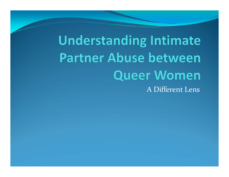**Understanding Intimate Partner Abuse between Queer Women** A Different Lens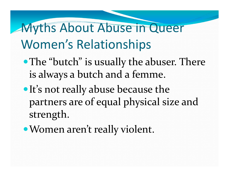# Myths About Abuse in Queer Women's Relationships

- The "butch" is usually the abuser. There is always <sup>a</sup> butch and <sup>a</sup> femme.
- It's not really abuse because the partners are of equal physical size and strength.
- Women aren't really violent.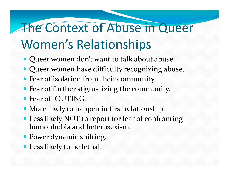## The Context of Abuse in Queer Women's Relationships

- Queer women don't want to talk about abuse.
- Queer women have difficulty recognizing abuse.
- Fear of isolation from their community
- Fear of further stigmatizing the community.
- Fear of OUTING.
- More likely to happen in first relationship.
- Less likely NOT to repor<sup>t</sup> for fear of confronting homophobia and heterosexism.
- Power dynamic shifting.
- Less likely to be lethal.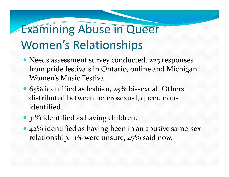# Examining Abuse in Queer Women's Relationships

- Needs assessment survey conducted. 225 responses from pride festivals in Ontario, online and Michigan Women's Music Festival.
- 65% identified as lesbian, 25% bi-sexual. Others distributed between heterosexual, queer, non‐ identified.
- 31% identified as having children.
- 42% identified as having been in an abusive same-sex relationship, 11% were unsure, 47% said now.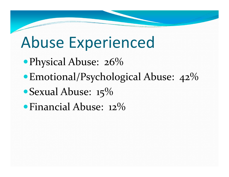# Abuse Experienced

- Physical Abuse: 26%
- Emotional/Psychological Abuse: 42%
- Sexual Abuse: 15%
- Financial Abuse: 12%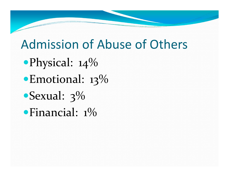# Admission of Abuse of Others Physical: 14% Emotional: 13% Sexual: 3% Financial: 1%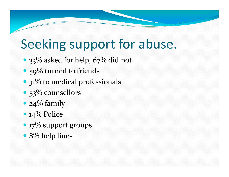# Seeking support for abuse.

- 33% asked for help, 67% did not.
- 59% turned to friends
- 31% to medical professionals
- 53% counsellors
- 24% family
- 14% Police
- $\bullet$  17% support groups
- 8% help lines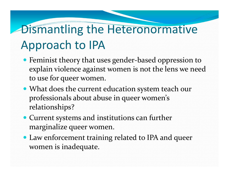#### Dismantling the Heteronormative Approach to IPA

- Feminist theory that uses gender‐based oppression to explain violence against women is not the lens we need to use for queer women.
- What does the current education system teach our professionals about abuse in queer women's relationships?
- Current systems and institutions can further marginalize queer women.
- Law enforcement training related to IPA and queer women is inadequate.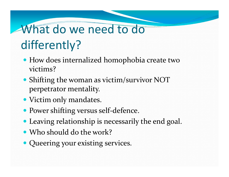### What do we need to do differently?

- How does internalized homophobia create two victims?
- Shifting the woman as victim/survivor NOT perpetrator mentality.
- Victim only mandates.
- Power shifting versus self-defence.
- Leaving relationship is necessarily the end goal.
- Who should do the work?
- Queering your existing services.